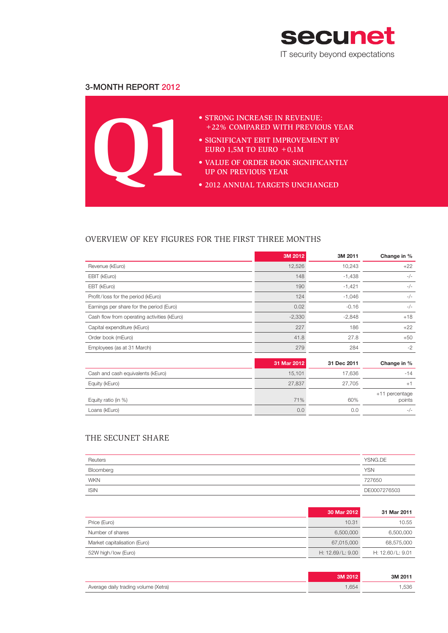

## 3-Month Report 2012



## OVERVIEW OF KEY FIGURES FOR THE FIRST THREE MONTHS

|                                             | 3M 2012     | 3M 2011     | Change in %              |
|---------------------------------------------|-------------|-------------|--------------------------|
| Revenue (kEuro)                             | 12,526      | 10,243      | $+22$                    |
| EBIT (kEuro)                                | 148         | $-1,438$    | $-/-$                    |
| EBT (kEuro)                                 | 190         | $-1,421$    | $-/-$                    |
| Profit/loss for the period (kEuro)          | 124         | $-1,046$    | $-/-$                    |
| Earnings per share for the period (Euro)    | 0.02        | $-0.16$     | $-/-$                    |
| Cash flow from operating activities (kEuro) | $-2,330$    | $-2,848$    | $+18$                    |
| Capital expenditure (kEuro)                 | 227         | 186         | $+22$                    |
| Order book (mEuro)                          | 41.8        | 27.8        | $+50$                    |
| Employees (as at 31 March)                  | 279         | 284         | $-2$                     |
|                                             | 31 Mar 2012 | 31 Dec 2011 | Change in %              |
| Cash and cash equivalents (kEuro)           | 15,101      | 17,636      | $-14$                    |
| Equity (kEuro)                              | 27,837      | 27,705      | $+1$                     |
| Equity ratio (in %)                         | 71%         | 60%         | +11 percentage<br>points |
| Loans (kEuro)                               | 0.0         | 0.0         | $-/-$                    |

## THE SECUNET SHARE

| Reuters     | YSNG.DE      |
|-------------|--------------|
| Bloomberg   | <b>YSN</b>   |
| <b>WKN</b>  | 727650       |
| <b>ISIN</b> | DE0007276503 |

|                              | 30 Mar 2012        | 31 Mar 2011      |
|------------------------------|--------------------|------------------|
| Price (Euro)                 | 10.31              | 10.55            |
| Number of shares             | 6,500,000          | 6,500,000        |
| Market capitalisation (Euro) | 67,015,000         | 68,575,000       |
| 52W high/low (Euro)          | H: $12.69/L: 9.00$ | H: 12.60/L: 9.01 |

|                                      |      | 3M 2011 |
|--------------------------------------|------|---------|
| Average daily trading volume (Xetra) | .654 | .536    |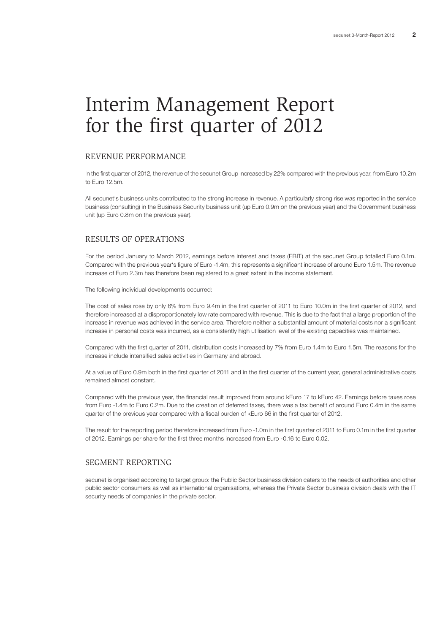# Interim Management Report for the first quarter of 2012

## REVENUE PERFORMANCE

In the first quarter of 2012, the revenue of the secunet Group increased by 22% compared with the previous year, from Euro 10.2m to Euro 12.5m.

All secunet's business units contributed to the strong increase in revenue. A particularly strong rise was reported in the service business (consulting) in the Business Security business unit (up Euro 0.9m on the previous year) and the Government business unit (up Euro 0.8m on the previous year).

## RESULTS OF OPERATIONS

For the period January to March 2012, earnings before interest and taxes (EBIT) at the secunet Group totalled Euro 0.1m. Compared with the previous year's figure of Euro -1.4m, this represents a significant increase of around Euro 1.5m. The revenue increase of Euro 2.3m has therefore been registered to a great extent in the income statement.

The following individual developments occurred:

The cost of sales rose by only 6% from Euro 9.4m in the first quarter of 2011 to Euro 10.0m in the first quarter of 2012, and therefore increased at a disproportionately low rate compared with revenue. This is due to the fact that a large proportion of the increase in revenue was achieved in the service area. Therefore neither a substantial amount of material costs nor a significant increase in personal costs was incurred, as a consistently high utilisation level of the existing capacities was maintained.

Compared with the first quarter of 2011, distribution costs increased by 7% from Euro 1.4m to Euro 1.5m. The reasons for the increase include intensified sales activities in Germany and abroad.

At a value of Euro 0.9m both in the first quarter of 2011 and in the first quarter of the current year, general administrative costs remained almost constant.

Compared with the previous year, the financial result improved from around kEuro 17 to kEuro 42. Earnings before taxes rose from Euro -1.4m to Euro 0.2m. Due to the creation of deferred taxes, there was a tax benefit of around Euro 0.4m in the same quarter of the previous year compared with a fiscal burden of kEuro 66 in the first quarter of 2012.

The result for the reporting period therefore increased from Euro -1.0m in the first quarter of 2011 to Euro 0.1m in the first quarter of 2012. Earnings per share for the first three months increased from Euro -0.16 to Euro 0.02.

#### SEGMENT REPORTING

secunet is organised according to target group: the Public Sector business division caters to the needs of authorities and other public sector consumers as well as international organisations, whereas the Private Sector business division deals with the IT security needs of companies in the private sector.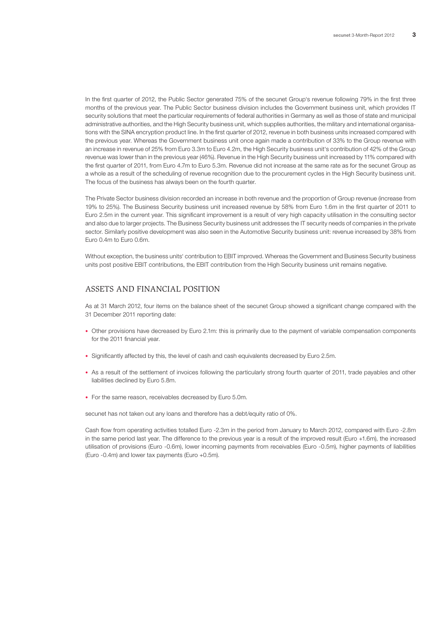In the first quarter of 2012, the Public Sector generated 75% of the secunet Group's revenue following 79% in the first three months of the previous year. The Public Sector business division includes the Government business unit, which provides IT security solutions that meet the particular requirements of federal authorities in Germany as well as those of state and municipal administrative authorities, and the High Security business unit, which supplies authorities, the military and international organisations with the SINA encryption product line. In the first quarter of 2012, revenue in both business units increased compared with the previous year. Whereas the Government business unit once again made a contribution of 33% to the Group revenue with an increase in revenue of 25% from Euro 3.3m to Euro 4.2m, the High Security business unit's contribution of 42% of the Group revenue was lower than in the previous year (46%). Revenue in the High Security business unit increased by 11% compared with the first quarter of 2011, from Euro 4.7m to Euro 5.3m. Revenue did not increase at the same rate as for the secunet Group as a whole as a result of the scheduling of revenue recognition due to the procurement cycles in the High Security business unit. The focus of the business has always been on the fourth quarter.

The Private Sector business division recorded an increase in both revenue and the proportion of Group revenue (increase from 19% to 25%). The Business Security business unit increased revenue by 58% from Euro 1.6m in the first quarter of 2011 to Euro 2.5m in the current year. This significant improvement is a result of very high capacity utilisation in the consulting sector and also due to larger projects. The Business Security business unit addresses the IT security needs of companies in the private sector. Similarly positive development was also seen in the Automotive Security business unit: revenue increased by 38% from Euro 0.4m to Euro 0.6m.

Without exception, the business units' contribution to EBIT improved. Whereas the Government and Business Security business units post positive EBIT contributions, the EBIT contribution from the High Security business unit remains negative.

## ASSETS AND FINANCIAL POSITION

As at 31 March 2012, four items on the balance sheet of the secunet Group showed a significant change compared with the 31 December 2011 reporting date:

- Other provisions have decreased by Euro 2.1m: this is primarily due to the payment of variable compensation components for the 2011 financial year.
- Significantly affected by this, the level of cash and cash equivalents decreased by Euro 2.5m.
- As a result of the settlement of invoices following the particularly strong fourth quarter of 2011, trade payables and other liabilities declined by Euro 5.8m.
- For the same reason, receivables decreased by Euro 5.0m.

secunet has not taken out any loans and therefore has a debt/equity ratio of 0%.

Cash flow from operating activities totalled Euro -2.3m in the period from January to March 2012, compared with Euro -2.8m in the same period last year. The difference to the previous year is a result of the improved result (Euro +1.6m), the increased utilisation of provisions (Euro -0.6m), lower incoming payments from receivables (Euro -0.5m), higher payments of liabilities (Euro -0.4m) and lower tax payments (Euro +0.5m).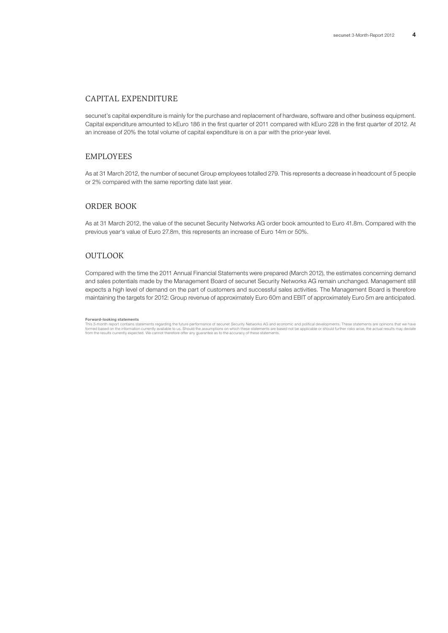## CAPITAL EXPENDITURE

secunet's capital expenditure is mainly for the purchase and replacement of hardware, software and other business equipment. Capital expenditure amounted to kEuro 186 in the first quarter of 2011 compared with kEuro 228 in the first quarter of 2012. At an increase of 20% the total volume of capital expenditure is on a par with the prior-year level.

## EMPLOYEES

As at 31 March 2012, the number of secunet Group employees totalled 279. This represents a decrease in headcount of 5 people or 2% compared with the same reporting date last year.

## ORDER BOOK

As at 31 March 2012, the value of the secunet Security Networks AG order book amounted to Euro 41.8m. Compared with the previous year's value of Euro 27.8m, this represents an increase of Euro 14m or 50%.

## OUTLOOK

Compared with the time the 2011 Annual Financial Statements were prepared (March 2012), the estimates concerning demand and sales potentials made by the Management Board of secunet Security Networks AG remain unchanged. Management still expects a high level of demand on the part of customers and successful sales activities. The Management Board is therefore maintaining the targets for 2012: Group revenue of approximately Euro 60m and EBIT of approximately Euro 5m are anticipated.

#### **Forward-looking statements**

This 3-month report contains statements regarding the future performance of secunet Security Networks AG and economic and political developments. These statements are opinions that we have<br>formed based on the information c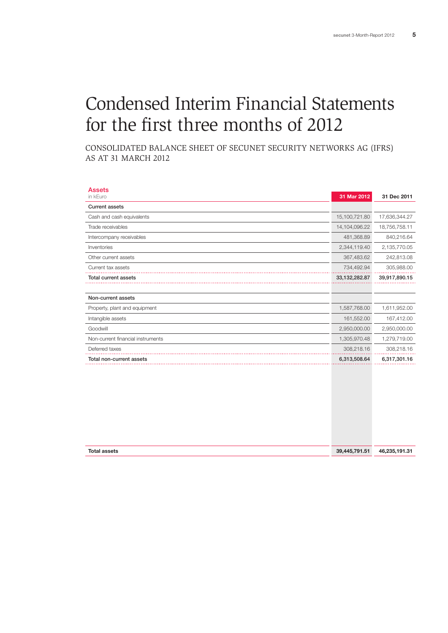# Condensed Interim Financial Statements for the first three months of 2012

Consolidated Balance Sheet of secunet Security Networks AG (IFRS) as at 31 March 2012

| <b>Assets</b>                     |               |               |
|-----------------------------------|---------------|---------------|
| in kEuro                          | 31 Mar 2012   | 31 Dec 2011   |
| <b>Current assets</b>             |               |               |
| Cash and cash equivalents         | 15,100,721.80 | 17,636,344.27 |
| Trade receivables                 | 14,104,096.22 | 18,756,758.11 |
| Intercompany receivables          | 481,368.89    | 840,216.64    |
| Inventories                       | 2,344,119.40  | 2,135,770.05  |
| Other current assets              | 367,483.62    | 242,813.08    |
| Current tax assets                | 734,492.94    | 305,988.00    |
| <b>Total current assets</b>       | 33,132,282.87 | 39,917,890.15 |
|                                   |               |               |
| Non-current assets                |               |               |
| Property, plant and equipment     | 1,587,768.00  | 1,611,952.00  |
| Intangible assets                 | 161,552.00    | 167,412.00    |
| Goodwill                          | 2,950,000.00  | 2,950,000.00  |
| Non-current financial instruments | 1,305,970.48  | 1,279,719.00  |
| Deferred taxes                    | 308,218.16    | 308,218.16    |
| Total non-current assets          | 6,313,508.64  | 6,317,301.16  |
|                                   |               |               |
|                                   |               |               |
|                                   |               |               |
|                                   |               |               |
|                                   |               |               |

| <b>Total assets</b> | 39,445,791,51 | 46.235.191.31 |
|---------------------|---------------|---------------|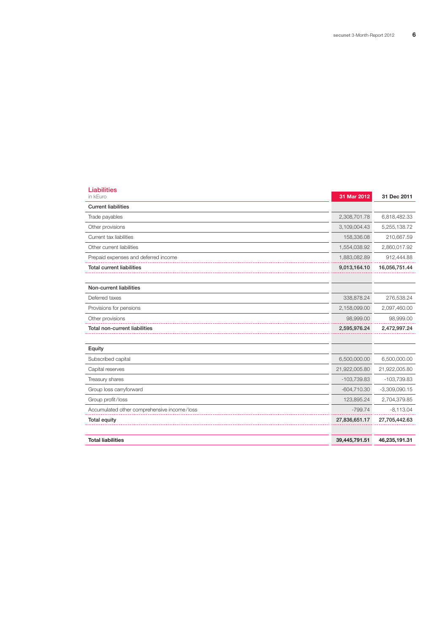| <b>Liabilities</b><br>in kEuro              | 31 Mar 2012   | 31 Dec 2011     |
|---------------------------------------------|---------------|-----------------|
| <b>Current liabilities</b>                  |               |                 |
| Trade payables                              | 2,308,701.78  | 6,818,482.33    |
| Other provisions                            | 3,109,004.43  | 5,255,138.72    |
| Current tax liabilities                     | 158,336.08    | 210,667.59      |
| Other current liabilities                   | 1,554,038.92  | 2,860,017.92    |
| Prepaid expenses and deferred income        | 1,883,082.89  | 912,444.88      |
| <b>Total current liabilities</b>            | 9,013,164.10  | 16,056,751.44   |
|                                             |               |                 |
| Non-current liabilities                     |               |                 |
| Deferred taxes                              | 338,878.24    | 276,538.24      |
| Provisions for pensions                     | 2,158,099.00  | 2,097,460.00    |
| Other provisions                            | 98,999.00     | 98,999.00       |
| Total non-current liabilities               | 2,595,976.24  | 2,472,997.24    |
|                                             |               |                 |
| Equity                                      |               |                 |
| Subscribed capital                          | 6,500,000.00  | 6,500,000.00    |
| Capital reserves                            | 21,922,005.80 | 21,922,005.80   |
| Treasury shares                             | $-103,739.83$ | $-103,739.83$   |
| Group loss carryforward                     | $-604,710.30$ | $-3,309,090.15$ |
| Group profit/loss                           | 123,895.24    | 2,704,379.85    |
| Accumulated other comprehensive income/loss | $-799.74$     | $-8,113.04$     |
| Total equity                                | 27,836,651.17 | 27,705,442.63   |
|                                             |               |                 |
| <b>Total liabilities</b>                    | 39,445,791.51 | 46,235,191.31   |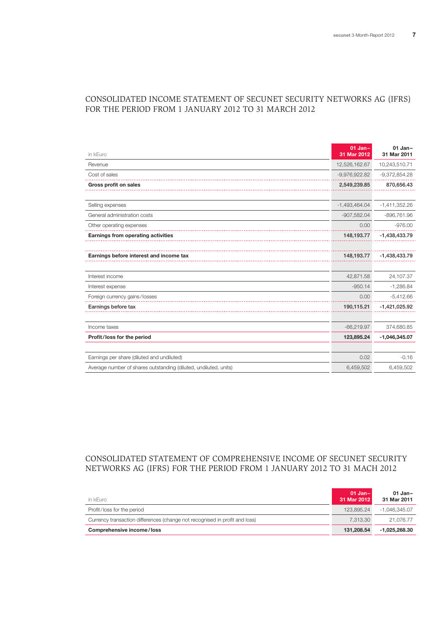## in kEuro **01 Jan– 31 Mar 2012 01 Jan– 31 Mar 2011** Revenue 12,526,162.67 10,243,510.71 12,526,162.67 10,243,510.71 Cost of sales -9,976,922.82 -9,372,854.28 **Gross profit on sales** 2,549,239.85 870,656.43 Selling expenses -1,493,464.04 -1,411,352.26 General administration costs and the state of the state of the state of the state of the state of the state of the state of the state of the state of the state of the state of the state of the state of the state of the sta Other operating expenses **0.00** -976.00 -976.00 **Earnings from operating activities** 148,193.77 -1,438,433.79 **Earnings before interest and income tax** 148,193.77 -1,438,433.79 Interest income 42,871.58 24,107.37 Interest expense -1,286.84 -1,286.84 Foreign currency gains/losses 6.412.66 Earnings before tax 190,115.21 -1,421,025.92 Income taxes -66,219.97 374,680.85 **Profit/loss for the period 123,895.24 -1,046,345.07** Earnings per share (diluted and undiluted) and the control of the control of the control of the control of the control of the control of the control of the control of the control of the control of the control of the contro Average number of shares outstanding (diluted, undiluted, units) 6,459,502 6,459,502

## Consolidated Income Statement of secunet Security Networks AG (IFRS) for the period from 1 January 2012 to 31 March 2012

## Consolidated Statement of Comprehensive Income of secunet Security Networks AG (IFRS) for the period from 1 January 2012 to 31 MAch 2012

| in kEuro                                                                    | $01$ Jan-<br>31 Mar 2012 | $01$ Jan-<br>31 Mar 2011 |
|-----------------------------------------------------------------------------|--------------------------|--------------------------|
| Profit/loss for the period                                                  | 123.895.24               | -1.046.345.07            |
| Currency transaction differences (change not recognised in profit and loss) | 7.313.30                 | 21.076.77                |
| Comprehensive income/loss                                                   | 131.208.54               | -1.025.268.30            |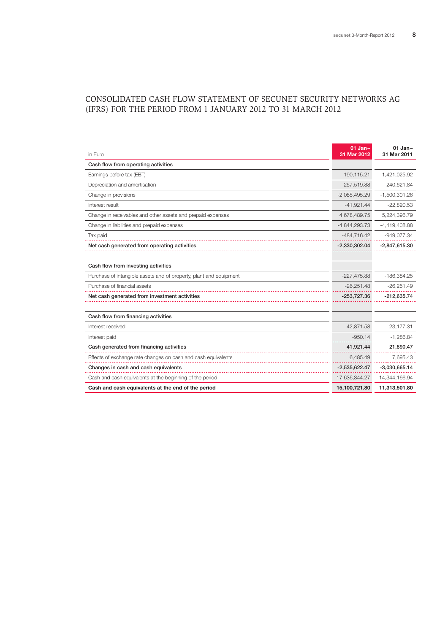## Consolidated Cash Flow Statement of secunet Security Networks AG (IFRS) for the period from 1 January 2012 to 31 March 2012

| in Euro                                                            | $01$ Jan-<br>31 Mar 2012 | $01$ Jan-<br>31 Mar 2011 |
|--------------------------------------------------------------------|--------------------------|--------------------------|
| Cash flow from operating activities                                |                          |                          |
| Earnings before tax (EBT)                                          | 190,115.21               | $-1,421,025.92$          |
| Depreciation and amortisation                                      | 257,519.88               | 240,621.84               |
| Change in provisions                                               | $-2,085,495.29$          | $-1,500,301.26$          |
| Interest result                                                    | $-41.921.44$             | $-22,820.53$             |
| Change in receivables and other assets and prepaid expenses        | 4,678,489.75             | 5,224,396.79             |
| Change in liabilities and prepaid expenses                         | $-4.844.293.73$          | $-4,419,408.88$          |
| Tax paid                                                           | $-484,716.42$            | -949,077.34              |
| Net cash generated from operating activities                       | $-2,330,302.04$          | $-2,847,615.30$          |
|                                                                    |                          |                          |
| Cash flow from investing activities                                |                          |                          |
| Purchase of intangible assets and of property, plant and equipment | $-227,475.88$            | $-186,384.25$            |
| Purchase of financial assets                                       | $-26.251.48$             | $-26,251.49$             |
| Net cash generated from investment activities                      | $-253,727.36$            | $-212,635.74$            |
|                                                                    |                          |                          |
| Cash flow from financing activities                                |                          |                          |
| Interest received                                                  | 42,871.58                | 23,177.31                |
| Interest paid                                                      | $-950.14$                | $-1,286.84$              |
| Cash generated from financing activities                           | 41,921.44                | 21,890.47                |
| Effects of exchange rate changes on cash and cash equivalents      | 6,485.49                 | 7,695.43                 |
| Changes in cash and cash equivalents                               | $-2,535,622.47$          | $-3,030,665.14$          |
| Cash and cash equivalents at the beginning of the period           | 17,636,344.27            | 14,344,166.94            |
| Cash and cash equivalents at the end of the period                 | 15,100,721.80            | 11,313,501.80            |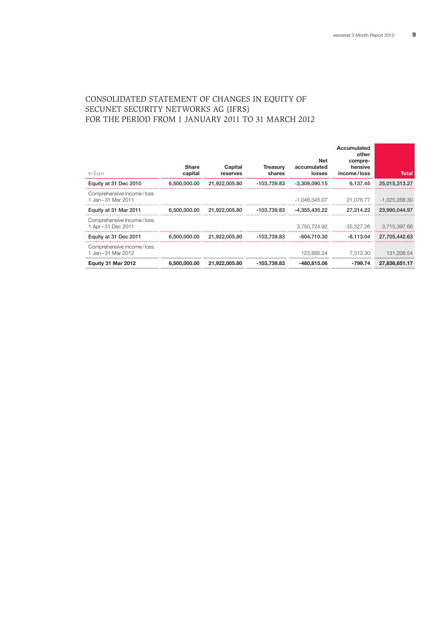## Consolidated Statement of Changes in Equity of secunet Security Networks AG (IFRS) for the period from 1 January 2011 to 31 March 2012

| in Euro                                        | <b>Share</b><br>capital | Capital<br>reserves | <b>Treasurv</b><br>shares | Net<br>accumulated<br>losses | Accumulated<br>other<br>compre-<br>hensive<br>income/loss | Total           |
|------------------------------------------------|-------------------------|---------------------|---------------------------|------------------------------|-----------------------------------------------------------|-----------------|
| Equity at 31 Dec 2010                          | 6,500,000.00            | 21,922,005.80       | -103,739.83               | $-3.309.090.15$              | 6.137.45                                                  | 25,015,313.27   |
| Comprehensive income/loss<br>1 Jan-31 Mar 2011 |                         |                     |                           | $-1.046.345.07$              | 21.076.77                                                 | $-1,025,268.30$ |
| Equity at 31 Mar 2011                          | 6.500.000.00            | 21.922.005.80       | -103.739.83               | -4.355.435.22                | 27.214.22                                                 | 23,990,044,97   |
| Comprehensive income/loss<br>1 Apr-31 Dec 2011 |                         |                     |                           | 3.750.724.92                 | -35,327.26                                                | 3,715,397.66    |
| Equity at 31 Dec 2011                          | 6.500.000.00            | 21.922.005.80       | -103.739.83               | -604.710.30                  | $-8.113.04$                                               | 27,705,442.63   |
| Comprehensive income/loss<br>1 Jan-31 Mar 2012 |                         |                     |                           | 123.895.24                   | 7.313.30                                                  | 131.208.54      |
| Equity 31 Mar 2012                             | 6,500,000,00            | 21,922,005.80       | -103,739.83               | -480,815.06                  | $-799.74$                                                 | 27.836.651.17   |
|                                                |                         |                     |                           |                              |                                                           |                 |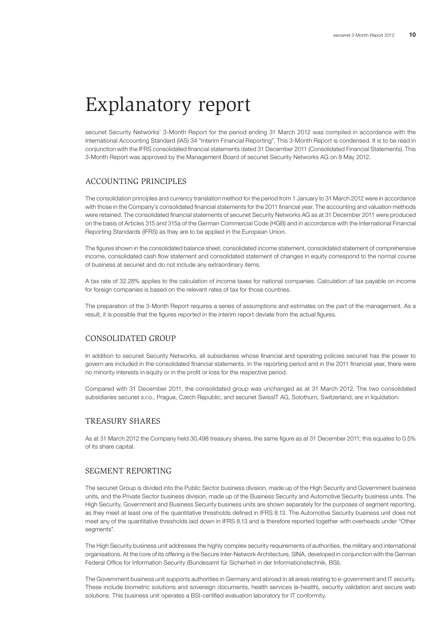# Explanatory report

secunet Security Networks' 3-Month Report for the period ending 31 March 2012 was compiled in accordance with the International Accounting Standard (IAS) 34 "Interim Financial Reporting". This 3-Month Report is condensed. It is to be read in conjunction with the IFRS consolidated financial statements dated 31 December 2011 (Consolidated Financial Statements). This 3-Month Report was approved by the Management Board of secunet Security Networks AG on 8 May 2012.

## ACCOUNTING PRINCIPLES

The consolidation principles and currency translation method for the period from 1 January to 31 March 2012 were in accordance with those in the Company's consolidated financial statements for the 2011 financial year. The accounting and valuation methods were retained. The consolidated financial statements of secunet Security Networks AG as at 31 December 2011 were produced on the basis of Articles 315 and 315a of the German Commercial Code (HGB) and in accordance with the International Financial Reporting Standards (IFRS) as they are to be applied in the European Union.

The figures shown in the consolidated balance sheet, consolidated income statement, consolidated statement of comprehensive income, consolidated cash flow statement and consolidated statement of changes in equity correspond to the normal course of business at secunet and do not include any extraordinary items.

A tax rate of 32.28% applies to the calculation of income taxes for national companies. Calculation of tax payable on income for foreign companies is based on the relevant rates of tax for those countries.

The preparation of the 3-Month Report requires a series of assumptions and estimates on the part of the management. As a result, it is possible that the figures reported in the interim report deviate from the actual figures.

## CONSOLIDATED GROUP

In addition to secunet Security Networks, all subsidiaries whose financial and operating policies secunet has the power to govern are included in the consolidated financial statements. In the reporting period and in the 2011 financial year, there were no minority interests in equity or in the profit or loss for the respective period.

Compared with 31 December 2011, the consolidated group was unchanged as at 31 March 2012. The two consolidated subsidiaries secunet s.r.o., Prague, Czech Republic, and secunet SwissIT AG, Solothurn, Switzerland, are in liquidation.

## TREASURY SHARES

As at 31 March 2012 the Company held 30,498 treasury shares, the same figure as at 31 December 2011; this equates to 0.5% of its share capital.

### SEGMENT REPORTING

The secunet Group is divided into the Public Sector business division, made up of the High Security and Government business units, and the Private Sector business division, made up of the Business Security and Automotive Security business units. The High Security, Government and Business Security business units are shown separately for the purposes of segment reporting, as they meet at least one of the quantitative thresholds defined in IFRS 8.13. The Automotive Security business unit does not meet any of the quantitative thresholds laid down in IFRS 8.13 and is therefore reported together with overheads under "Other seaments".

The High Security business unit addresses the highly complex security requirements of authorities, the military and international organisations. At the core of its offering is the Secure Inter-Network Architecture, SINA, developed in conjunction with the German Federal Office for Information Security (Bundesamt für Sicherheit in der Informationstechnik, BSI).

The Government business unit supports authorities in Germany and abroad in all areas relating to e-government and IT security. These include biometric solutions and sovereign documents, health services (e-health), security validation and secure web solutions. This business unit operates a BSI-certified evaluation laboratory for IT conformity.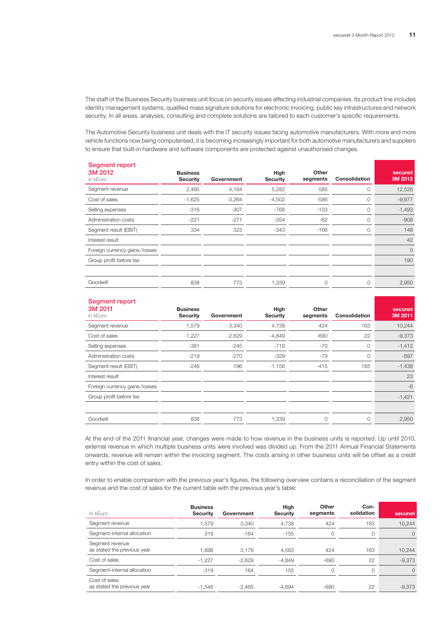The staff of the Business Security business unit focus on security issues affecting industrial companies. Its product line includes identity management systems, qualified mass signature solutions for electronic invoicing, public key infrastructures and network security. In all areas, analyses, consulting and complete solutions are tailored to each customer's specific requirements.

The Automotive Security business unit deals with the IT security issues facing automotive manufacturers. With more and more vehicle functions now being computerised, it is becoming increasingly important for both automotive manufacturers and suppliers to ensure that built-in hardware and software components are protected against unauthorised changes.

| <b>Business</b><br><b>Security</b> | Government | High<br><b>Security</b> | Other<br>segments | <b>Consolidation</b> | secunet<br>3M 2012 |
|------------------------------------|------------|-------------------------|-------------------|----------------------|--------------------|
| 2,495                              | 4,164      | 5,282                   | 585               | 0                    | 12,526             |
| $-1,625$                           | $-3,264$   | $-4,502$                | $-586$            | 0                    | $-9,977$           |
| $-316$                             | $-307$     | $-768$                  | $-103$            | 0                    | $-1,493$           |
| $-221$                             | $-271$     | $-354$                  | $-62$             | 0                    | $-908$             |
| 334                                | 323        | $-343$                  | $-166$            | 0                    | 148                |
|                                    |            |                         |                   |                      | 42                 |
|                                    |            |                         |                   |                      | $\circ$            |
|                                    |            |                         |                   |                      | 190                |
|                                    |            |                         |                   |                      |                    |
| 838                                | 773        | 1,339                   | $\circ$           | 0                    | 2,950              |
|                                    |            |                         |                   |                      |                    |

#### Seament report

| 3M 2011<br>in kEuro           | <b>Business</b><br><b>Security</b> | Government | High<br><b>Security</b> | Other<br>segments | <b>Consolidation</b> | secunet<br>3M 2011 |
|-------------------------------|------------------------------------|------------|-------------------------|-------------------|----------------------|--------------------|
| Segment revenue               | 1,579                              | 3,340      | 4,738                   | 424               | 163                  | 10,244             |
| Cost of sales                 | $-1,227$                           | $-2,629$   | $-4,849$                | $-690$            | 22                   | $-9,373$           |
| Selling expenses              | $-381$                             | $-245$     | $-716$                  | -70               | 0                    | $-1,412$           |
| Administration costs          | $-219$                             | $-270$     | $-329$                  | -79               | 0                    | $-897$             |
| Segment result (EBIT)         | $-248$                             | 196        | $-1,156$                | $-415$            | 185                  | $-1,438$           |
| Interest result               |                                    |            |                         |                   |                      | 23                 |
| Foreign currency gains/losses |                                    |            |                         |                   |                      | $-6$               |
| Group profit before tax       |                                    |            |                         |                   |                      | $-1,421$           |
|                               |                                    |            |                         |                   |                      |                    |
| Goodwill                      | 838                                | 773        | 1,339                   | 0                 | 0                    | 2,950              |

At the end of the 2011 financial year, changes were made to how revenue in the business units is reported. Up until 2010, external revenue in which multiple business units were involved was divided up. From the 2011 Annual Financial Statements onwards, revenue will remain within the invoicing segment. The costs arising in other business units will be offset as a credit entry within the cost of sales.

In order to enable comparison with the previous year's figures, the following overview contains a reconciliation of the segment revenue and the cost of sales for the current table with the previous year's table:

| in kEuro                                       | <b>Business</b><br>Security | Government | High<br>Security | Other<br>seaments | Con-<br>solidation | secunet  |
|------------------------------------------------|-----------------------------|------------|------------------|-------------------|--------------------|----------|
| Segment revenue                                | 1.579                       | 3,340      | 4,738            | 424               | 163                | 10.244   |
| Segment-internal allocation                    | 319                         | $-164$     | $-155$           | $\Omega$          |                    | $\Omega$ |
| Segment revenue<br>as stated the previous year | 1.898                       | 3.176      | 4,583            | 424               | 163                | 10.244   |
| Cost of sales                                  | $-1,227$                    | $-2,629$   | $-4,849$         | $-690$            | 22                 | $-9,373$ |
| Segment-internal allocation                    | $-319$                      | 164        | 155              | $\Omega$          |                    | $\Omega$ |
| Cost of sales<br>as stated the previous year   | $-1.546$                    | $-2.465$   | $-4.694$         | $-690$            | 22                 | $-9.373$ |